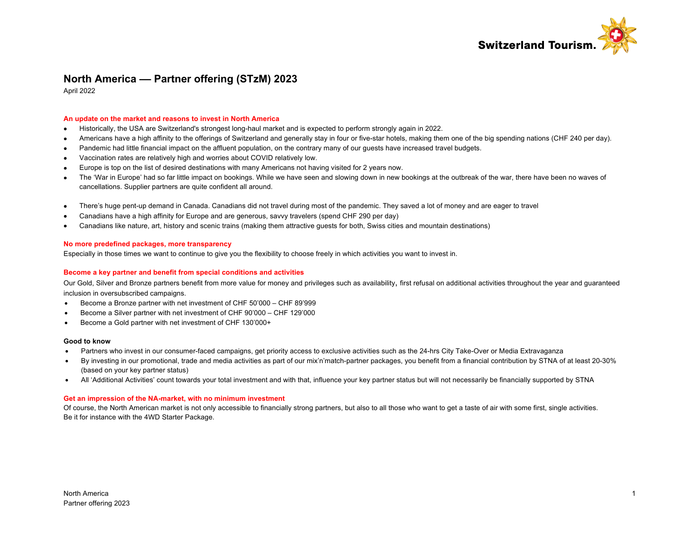

# **North America –– Partner offering (STzM) 2023**

April 2022

### **An update on the market and reasons to invest in North America**

- Historically, the USA are Switzerland's strongest long-haul market and is expected to perform strongly again in 2022.
- Americans have a high affinity to the offerings of Switzerland and generally stay in four or five-star hotels, making them one of the big spending nations (CHF 240 per day).
- Pandemic had little financial impact on the affluent population, on the contrary many of our guests have increased travel budgets.
- Vaccination rates are relatively high and worries about COVID relatively low.
- Europe is top on the list of desired destinations with many Americans not having visited for 2 years now.
- The 'War in Europe' had so far little impact on bookings. While we have seen and slowing down in new bookings at the outbreak of the war, there have been no waves of cancellations. Supplier partners are quite confident all around.
- There's huge pent-up demand in Canada. Canadians did not travel during most of the pandemic. They saved a lot of money and are eager to travel
- Canadians have a high affinity for Europe and are generous, savvy travelers (spend CHF 290 per day)
- Canadians like nature, art, history and scenic trains (making them attractive guests for both, Swiss cities and mountain destinations)

### **No more predefined packages, more transparency**

Especially in those times we want to continue to give you the flexibility to choose freely in which activities you want to invest in.

### **Become a key partner and benefit from special conditions and activities**

Our Gold, Silver and Bronze partners benefit from more value for money and privileges such as availability, first refusal on additional activities throughout the year and guaranteed inclusion in oversubscribed campaigns.

- Become a Bronze partner with net investment of CHF 50'000 CHF 89'999
- Become a Silver partner with net investment of CHF 90'000 CHF 129'000
- Become a Gold partner with net investment of CHF 130'000+

### **Good to know**

- Partners who invest in our consumer-faced campaigns, get priority access to exclusive activities such as the 24-hrs City Take-Over or Media Extravaganza
- By investing in our promotional, trade and media activities as part of our mix'n'match-partner packages, you benefit from a financial contribution by STNA of at least 20-30% (based on your key partner status)
- All 'Additional Activities' count towards your total investment and with that, influence your key partner status but will not necessarily be financially supported by STNA

### **Get an impression of the NA-market, with no minimum investment**

Of course, the North American market is not only accessible to financially strong partners, but also to all those who want to get a taste of air with some first, single activities. Be it for instance with the 4WD Starter Package.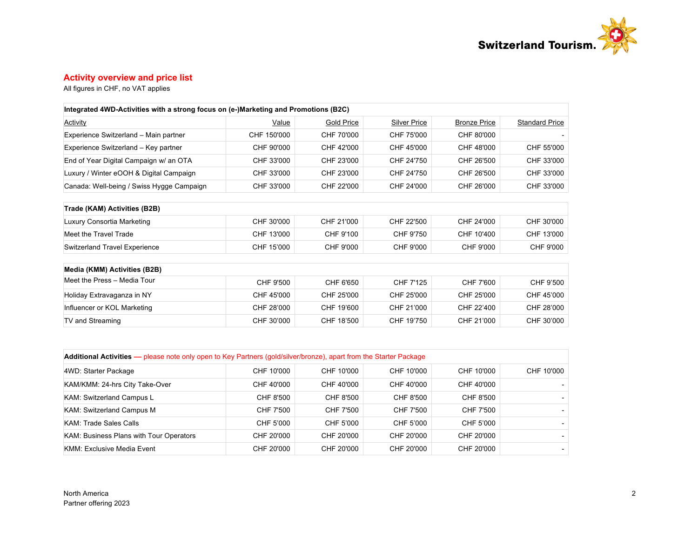

## **Activity overview and price list**

All figures in CHF, no VAT applies

| Integrated 4WD-Activities with a strong focus on (e-)Marketing and Promotions (B2C) |              |                   |                     |                     |                       |
|-------------------------------------------------------------------------------------|--------------|-------------------|---------------------|---------------------|-----------------------|
| <b>Activity</b>                                                                     | <u>Value</u> | <b>Gold Price</b> | <b>Silver Price</b> | <b>Bronze Price</b> | <b>Standard Price</b> |
| Experience Switzerland - Main partner                                               | CHF 150'000  | CHF 70'000        | CHF 75'000          | CHF 80'000          |                       |
| Experience Switzerland - Key partner                                                | CHF 90'000   | CHF 42'000        | CHF 45'000          | CHF 48'000          | CHF 55'000            |
| End of Year Digital Campaign w/ an OTA                                              | CHF 33'000   | CHF 23'000        | CHF 24'750          | CHF 26'500          | CHF 33'000            |
| Luxury / Winter eOOH & Digital Campaign                                             | CHF 33'000   | CHF 23'000        | CHF 24'750          | CHF 26'500          | CHF 33'000            |
| Canada: Well-being / Swiss Hygge Campaign                                           | CHF 33'000   | CHF 22'000        | CHF 24'000          | CHF 26'000          | CHF 33'000            |
| Trade (KAM) Activities (B2B)                                                        |              |                   |                     |                     |                       |
| Luxury Consortia Marketing                                                          | CHF 30'000   | CHF 21'000        | CHF 22'500          | CHF 24'000          | CHF 30'000            |
| Meet the Travel Trade                                                               | CHF 13'000   | CHF 9'100         | CHF 9'750           | CHF 10'400          | CHF 13'000            |
| <b>Switzerland Travel Experience</b>                                                | CHF 15'000   | CHF 9'000         | CHF 9'000           | CHF 9'000           | CHF 9'000             |
| Media (KMM) Activities (B2B)                                                        |              |                   |                     |                     |                       |
| Meet the Press - Media Tour                                                         | CHF 9'500    | CHF 6'650         | CHF 7'125           | CHF 7'600           | CHF 9'500             |
| Holiday Extravaganza in NY                                                          | CHF 45'000   | CHF 25'000        | CHF 25'000          | CHF 25'000          | CHF 45'000            |
| Influencer or KOL Marketing                                                         | CHF 28'000   | CHF 19'600        | CHF 21'000          | CHF 22'400          | CHF 28'000            |
| <b>TV and Streaming</b>                                                             | CHF 30'000   | CHF 18'500        | CHF 19'750          | CHF 21'000          | CHF 30'000            |

| Additional Activities — please note only open to Key Partners (gold/silver/bronze), apart from the Starter Package |            |            |            |            |            |  |  |  |  |
|--------------------------------------------------------------------------------------------------------------------|------------|------------|------------|------------|------------|--|--|--|--|
| 4WD: Starter Package                                                                                               | CHF 10'000 | CHF 10'000 | CHF 10'000 | CHF 10'000 | CHF 10'000 |  |  |  |  |
| KAM/KMM: 24-hrs City Take-Over                                                                                     | CHF 40'000 | CHF 40'000 | CHF 40'000 | CHF 40'000 |            |  |  |  |  |
| KAM: Switzerland Campus L                                                                                          | CHF 8'500  | CHF 8'500  | CHF 8'500  | CHF 8'500  |            |  |  |  |  |
| KAM: Switzerland Campus M                                                                                          | CHF 7'500  | CHF 7'500  | CHF 7'500  | CHF 7'500  |            |  |  |  |  |
| KAM: Trade Sales Calls                                                                                             | CHF 5'000  | CHF 5'000  | CHF 5'000  | CHF 5'000  |            |  |  |  |  |
| <b>KAM: Business Plans with Tour Operators</b>                                                                     | CHF 20'000 | CHF 20'000 | CHF 20'000 | CHF 20'000 |            |  |  |  |  |
| <b>KMM: Exclusive Media Event</b>                                                                                  | CHF 20'000 | CHF 20'000 | CHF 20'000 | CHF 20'000 |            |  |  |  |  |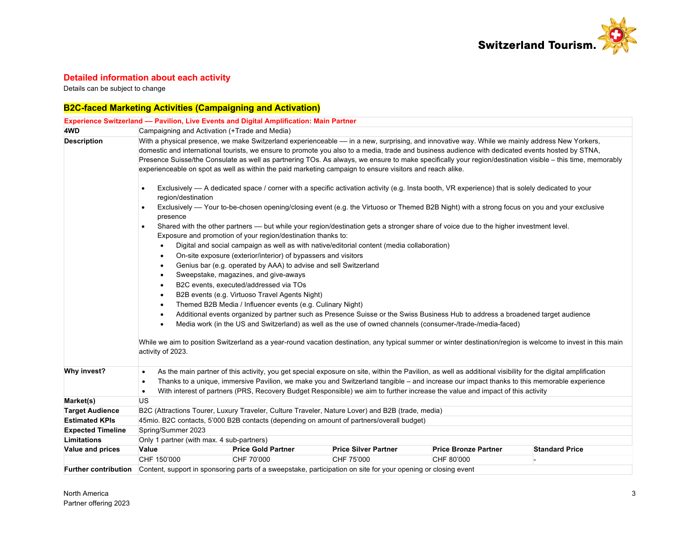

## **Detailed information about each activity**

Details can be subject to change

# **B2C-faced Marketing Activities (Campaigning and Activation)**

|                          | <b>Experience Switzerland - Pavilion, Live Events and Digital Amplification: Main Partner</b>                                                                                                                                                                                                                                                                                                                                                                                                                                                                              |                                                                |                                                                                                                                                                                                                                                                                                                                                                                                                                            |                             |                       |  |  |  |
|--------------------------|----------------------------------------------------------------------------------------------------------------------------------------------------------------------------------------------------------------------------------------------------------------------------------------------------------------------------------------------------------------------------------------------------------------------------------------------------------------------------------------------------------------------------------------------------------------------------|----------------------------------------------------------------|--------------------------------------------------------------------------------------------------------------------------------------------------------------------------------------------------------------------------------------------------------------------------------------------------------------------------------------------------------------------------------------------------------------------------------------------|-----------------------------|-----------------------|--|--|--|
| 4WD                      | Campaigning and Activation (+Trade and Media)                                                                                                                                                                                                                                                                                                                                                                                                                                                                                                                              |                                                                |                                                                                                                                                                                                                                                                                                                                                                                                                                            |                             |                       |  |  |  |
| <b>Description</b>       | With a physical presence, we make Switzerland experienceable - in a new, surprising, and innovative way. While we mainly address New Yorkers,<br>domestic and international tourists, we ensure to promote you also to a media, trade and business audience with dedicated events hosted by STNA,<br>Presence Suisse/the Consulate as well as partnering TOs. As always, we ensure to make specifically your region/destination visible - this time, memorably<br>experienceable on spot as well as within the paid marketing campaign to ensure visitors and reach alike. |                                                                |                                                                                                                                                                                                                                                                                                                                                                                                                                            |                             |                       |  |  |  |
|                          | $\bullet$<br>region/destination                                                                                                                                                                                                                                                                                                                                                                                                                                                                                                                                            |                                                                | Exclusively - A dedicated space / corner with a specific activation activity (e.g. Insta booth, VR experience) that is solely dedicated to your                                                                                                                                                                                                                                                                                            |                             |                       |  |  |  |
|                          | presence                                                                                                                                                                                                                                                                                                                                                                                                                                                                                                                                                                   |                                                                | Exclusively — Your to-be-chosen opening/closing event (e.g. the Virtuoso or Themed B2B Night) with a strong focus on you and your exclusive                                                                                                                                                                                                                                                                                                |                             |                       |  |  |  |
|                          | $\bullet$                                                                                                                                                                                                                                                                                                                                                                                                                                                                                                                                                                  | Exposure and promotion of your region/destination thanks to:   | Shared with the other partners — but while your region/destination gets a stronger share of voice due to the higher investment level.                                                                                                                                                                                                                                                                                                      |                             |                       |  |  |  |
|                          |                                                                                                                                                                                                                                                                                                                                                                                                                                                                                                                                                                            |                                                                | Digital and social campaign as well as with native/editorial content (media collaboration)                                                                                                                                                                                                                                                                                                                                                 |                             |                       |  |  |  |
|                          | ٠                                                                                                                                                                                                                                                                                                                                                                                                                                                                                                                                                                          | On-site exposure (exterior/interior) of bypassers and visitors |                                                                                                                                                                                                                                                                                                                                                                                                                                            |                             |                       |  |  |  |
|                          | Genius bar (e.g. operated by AAA) to advise and sell Switzerland<br>٠                                                                                                                                                                                                                                                                                                                                                                                                                                                                                                      |                                                                |                                                                                                                                                                                                                                                                                                                                                                                                                                            |                             |                       |  |  |  |
|                          | Sweepstake, magazines, and give-aways<br>٠                                                                                                                                                                                                                                                                                                                                                                                                                                                                                                                                 |                                                                |                                                                                                                                                                                                                                                                                                                                                                                                                                            |                             |                       |  |  |  |
|                          | B2C events, executed/addressed via TOs<br>٠                                                                                                                                                                                                                                                                                                                                                                                                                                                                                                                                |                                                                |                                                                                                                                                                                                                                                                                                                                                                                                                                            |                             |                       |  |  |  |
|                          | B2B events (e.g. Virtuoso Travel Agents Night)<br>$\bullet$                                                                                                                                                                                                                                                                                                                                                                                                                                                                                                                |                                                                |                                                                                                                                                                                                                                                                                                                                                                                                                                            |                             |                       |  |  |  |
|                          | Themed B2B Media / Influencer events (e.g. Culinary Night)<br>٠                                                                                                                                                                                                                                                                                                                                                                                                                                                                                                            |                                                                |                                                                                                                                                                                                                                                                                                                                                                                                                                            |                             |                       |  |  |  |
|                          | Additional events organized by partner such as Presence Suisse or the Swiss Business Hub to address a broadened target audience<br>$\bullet$                                                                                                                                                                                                                                                                                                                                                                                                                               |                                                                |                                                                                                                                                                                                                                                                                                                                                                                                                                            |                             |                       |  |  |  |
|                          | Media work (in the US and Switzerland) as well as the use of owned channels (consumer-/trade-/media-faced)<br>$\bullet$                                                                                                                                                                                                                                                                                                                                                                                                                                                    |                                                                |                                                                                                                                                                                                                                                                                                                                                                                                                                            |                             |                       |  |  |  |
|                          | While we aim to position Switzerland as a year-round vacation destination, any typical summer or winter destination/region is welcome to invest in this main<br>activity of 2023.                                                                                                                                                                                                                                                                                                                                                                                          |                                                                |                                                                                                                                                                                                                                                                                                                                                                                                                                            |                             |                       |  |  |  |
| Why invest?              | $\bullet$<br>$\bullet$<br>$\bullet$                                                                                                                                                                                                                                                                                                                                                                                                                                                                                                                                        |                                                                | As the main partner of this activity, you get special exposure on site, within the Pavilion, as well as additional visibility for the digital amplification<br>Thanks to a unique, immersive Pavilion, we make you and Switzerland tangible – and increase our impact thanks to this memorable experience<br>With interest of partners (PRS, Recovery Budget Responsible) we aim to further increase the value and impact of this activity |                             |                       |  |  |  |
| Market(s)                | US                                                                                                                                                                                                                                                                                                                                                                                                                                                                                                                                                                         |                                                                |                                                                                                                                                                                                                                                                                                                                                                                                                                            |                             |                       |  |  |  |
| <b>Target Audience</b>   |                                                                                                                                                                                                                                                                                                                                                                                                                                                                                                                                                                            |                                                                | B2C (Attractions Tourer, Luxury Traveler, Culture Traveler, Nature Lover) and B2B (trade, media)                                                                                                                                                                                                                                                                                                                                           |                             |                       |  |  |  |
| <b>Estimated KPIs</b>    |                                                                                                                                                                                                                                                                                                                                                                                                                                                                                                                                                                            |                                                                | 45mio. B2C contacts, 5'000 B2B contacts (depending on amount of partners/overall budget)                                                                                                                                                                                                                                                                                                                                                   |                             |                       |  |  |  |
| <b>Expected Timeline</b> | Spring/Summer 2023                                                                                                                                                                                                                                                                                                                                                                                                                                                                                                                                                         |                                                                |                                                                                                                                                                                                                                                                                                                                                                                                                                            |                             |                       |  |  |  |
| Limitations              | Only 1 partner (with max. 4 sub-partners)                                                                                                                                                                                                                                                                                                                                                                                                                                                                                                                                  |                                                                |                                                                                                                                                                                                                                                                                                                                                                                                                                            |                             |                       |  |  |  |
| Value and prices         | Value                                                                                                                                                                                                                                                                                                                                                                                                                                                                                                                                                                      | <b>Price Gold Partner</b>                                      | <b>Price Silver Partner</b>                                                                                                                                                                                                                                                                                                                                                                                                                | <b>Price Bronze Partner</b> | <b>Standard Price</b> |  |  |  |
|                          | CHF 150'000                                                                                                                                                                                                                                                                                                                                                                                                                                                                                                                                                                | CHF 70'000                                                     | CHF 75'000                                                                                                                                                                                                                                                                                                                                                                                                                                 | CHF 80'000                  |                       |  |  |  |
|                          |                                                                                                                                                                                                                                                                                                                                                                                                                                                                                                                                                                            |                                                                | Further contribution Content, support in sponsoring parts of a sweepstake, participation on site for your opening or closing event                                                                                                                                                                                                                                                                                                         |                             |                       |  |  |  |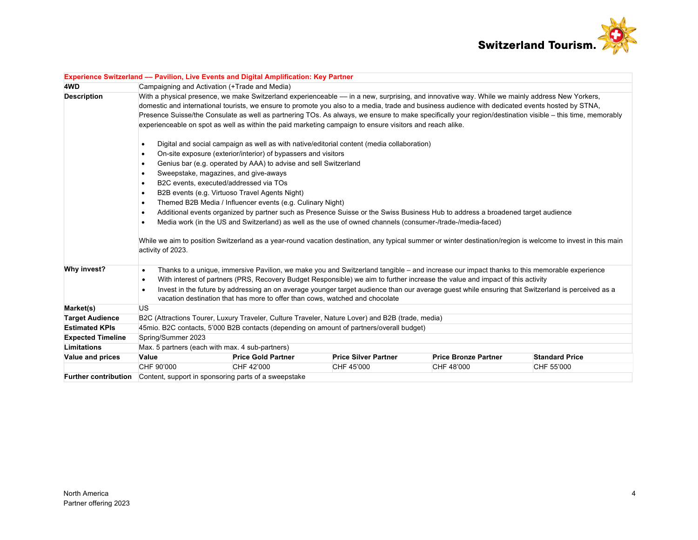

|                          | Experience Switzerland - Pavilion, Live Events and Digital Amplification: Key Partner                                                                                                                                                                                                                                                                                                                                                                                                                                                                                      |                                                                  |                                                                                                  |                                                                                                                                                                                                                                                                                                                                                                                                                                  |                       |  |  |  |
|--------------------------|----------------------------------------------------------------------------------------------------------------------------------------------------------------------------------------------------------------------------------------------------------------------------------------------------------------------------------------------------------------------------------------------------------------------------------------------------------------------------------------------------------------------------------------------------------------------------|------------------------------------------------------------------|--------------------------------------------------------------------------------------------------|----------------------------------------------------------------------------------------------------------------------------------------------------------------------------------------------------------------------------------------------------------------------------------------------------------------------------------------------------------------------------------------------------------------------------------|-----------------------|--|--|--|
| 4WD                      | Campaigning and Activation (+Trade and Media)                                                                                                                                                                                                                                                                                                                                                                                                                                                                                                                              |                                                                  |                                                                                                  |                                                                                                                                                                                                                                                                                                                                                                                                                                  |                       |  |  |  |
| <b>Description</b>       | With a physical presence, we make Switzerland experienceable - in a new, surprising, and innovative way. While we mainly address New Yorkers,<br>domestic and international tourists, we ensure to promote you also to a media, trade and business audience with dedicated events hosted by STNA,<br>Presence Suisse/the Consulate as well as partnering TOs. As always, we ensure to make specifically your region/destination visible – this time, memorably<br>experienceable on spot as well as within the paid marketing campaign to ensure visitors and reach alike. |                                                                  |                                                                                                  |                                                                                                                                                                                                                                                                                                                                                                                                                                  |                       |  |  |  |
|                          | $\bullet$                                                                                                                                                                                                                                                                                                                                                                                                                                                                                                                                                                  |                                                                  | Digital and social campaign as well as with native/editorial content (media collaboration)       |                                                                                                                                                                                                                                                                                                                                                                                                                                  |                       |  |  |  |
|                          | $\bullet$                                                                                                                                                                                                                                                                                                                                                                                                                                                                                                                                                                  | On-site exposure (exterior/interior) of bypassers and visitors   |                                                                                                  |                                                                                                                                                                                                                                                                                                                                                                                                                                  |                       |  |  |  |
|                          | ٠                                                                                                                                                                                                                                                                                                                                                                                                                                                                                                                                                                          | Genius bar (e.g. operated by AAA) to advise and sell Switzerland |                                                                                                  |                                                                                                                                                                                                                                                                                                                                                                                                                                  |                       |  |  |  |
|                          | Sweepstake, magazines, and give-aways<br>$\bullet$                                                                                                                                                                                                                                                                                                                                                                                                                                                                                                                         |                                                                  |                                                                                                  |                                                                                                                                                                                                                                                                                                                                                                                                                                  |                       |  |  |  |
|                          | B2C events, executed/addressed via TOs<br>$\bullet$                                                                                                                                                                                                                                                                                                                                                                                                                                                                                                                        |                                                                  |                                                                                                  |                                                                                                                                                                                                                                                                                                                                                                                                                                  |                       |  |  |  |
|                          | B2B events (e.g. Virtuoso Travel Agents Night)<br>$\bullet$                                                                                                                                                                                                                                                                                                                                                                                                                                                                                                                |                                                                  |                                                                                                  |                                                                                                                                                                                                                                                                                                                                                                                                                                  |                       |  |  |  |
|                          | Themed B2B Media / Influencer events (e.g. Culinary Night)<br>$\bullet$                                                                                                                                                                                                                                                                                                                                                                                                                                                                                                    |                                                                  |                                                                                                  |                                                                                                                                                                                                                                                                                                                                                                                                                                  |                       |  |  |  |
|                          | Additional events organized by partner such as Presence Suisse or the Swiss Business Hub to address a broadened target audience<br>$\bullet$<br>Media work (in the US and Switzerland) as well as the use of owned channels (consumer-/trade-/media-faced)                                                                                                                                                                                                                                                                                                                 |                                                                  |                                                                                                  |                                                                                                                                                                                                                                                                                                                                                                                                                                  |                       |  |  |  |
|                          | While we aim to position Switzerland as a year-round vacation destination, any typical summer or winter destination/region is welcome to invest in this main<br>activity of 2023.                                                                                                                                                                                                                                                                                                                                                                                          |                                                                  |                                                                                                  |                                                                                                                                                                                                                                                                                                                                                                                                                                  |                       |  |  |  |
| Why invest?              | $\bullet$<br>$\bullet$<br>$\bullet$                                                                                                                                                                                                                                                                                                                                                                                                                                                                                                                                        |                                                                  | vacation destination that has more to offer than cows, watched and chocolate                     | Thanks to a unique, immersive Pavilion, we make you and Switzerland tangible - and increase our impact thanks to this memorable experience<br>With interest of partners (PRS, Recovery Budget Responsible) we aim to further increase the value and impact of this activity<br>Invest in the future by addressing an on average younger target audience than our average guest while ensuring that Switzerland is perceived as a |                       |  |  |  |
| Market(s)                | <b>US</b>                                                                                                                                                                                                                                                                                                                                                                                                                                                                                                                                                                  |                                                                  |                                                                                                  |                                                                                                                                                                                                                                                                                                                                                                                                                                  |                       |  |  |  |
| <b>Target Audience</b>   |                                                                                                                                                                                                                                                                                                                                                                                                                                                                                                                                                                            |                                                                  | B2C (Attractions Tourer, Luxury Traveler, Culture Traveler, Nature Lover) and B2B (trade, media) |                                                                                                                                                                                                                                                                                                                                                                                                                                  |                       |  |  |  |
| <b>Estimated KPIs</b>    |                                                                                                                                                                                                                                                                                                                                                                                                                                                                                                                                                                            |                                                                  | 45mio. B2C contacts, 5'000 B2B contacts (depending on amount of partners/overall budget)         |                                                                                                                                                                                                                                                                                                                                                                                                                                  |                       |  |  |  |
| <b>Expected Timeline</b> | Spring/Summer 2023                                                                                                                                                                                                                                                                                                                                                                                                                                                                                                                                                         |                                                                  |                                                                                                  |                                                                                                                                                                                                                                                                                                                                                                                                                                  |                       |  |  |  |
| Limitations              | Max. 5 partners (each with max. 4 sub-partners)                                                                                                                                                                                                                                                                                                                                                                                                                                                                                                                            |                                                                  |                                                                                                  |                                                                                                                                                                                                                                                                                                                                                                                                                                  |                       |  |  |  |
| Value and prices         | Value                                                                                                                                                                                                                                                                                                                                                                                                                                                                                                                                                                      | <b>Price Gold Partner</b>                                        | <b>Price Silver Partner</b>                                                                      | <b>Price Bronze Partner</b>                                                                                                                                                                                                                                                                                                                                                                                                      | <b>Standard Price</b> |  |  |  |
|                          | CHF 90'000                                                                                                                                                                                                                                                                                                                                                                                                                                                                                                                                                                 | CHF 42'000                                                       | CHF 45'000                                                                                       | CHF 48'000                                                                                                                                                                                                                                                                                                                                                                                                                       | CHF 55'000            |  |  |  |
|                          | <b>Further contribution</b> Content, support in sponsoring parts of a sweepstake                                                                                                                                                                                                                                                                                                                                                                                                                                                                                           |                                                                  |                                                                                                  |                                                                                                                                                                                                                                                                                                                                                                                                                                  |                       |  |  |  |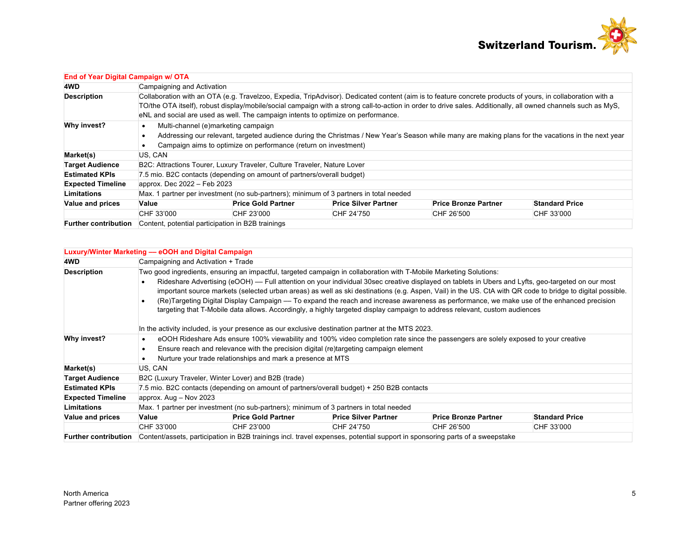

| End of Year Digital Campaign w/ OTA |                                                                                                                                                                                                                                                                                                                                                                                                                  |                                                                                                                                                                                                                                                              |                                                                                        |                             |                       |  |  |  |  |
|-------------------------------------|------------------------------------------------------------------------------------------------------------------------------------------------------------------------------------------------------------------------------------------------------------------------------------------------------------------------------------------------------------------------------------------------------------------|--------------------------------------------------------------------------------------------------------------------------------------------------------------------------------------------------------------------------------------------------------------|----------------------------------------------------------------------------------------|-----------------------------|-----------------------|--|--|--|--|
| 4WD                                 | Campaigning and Activation                                                                                                                                                                                                                                                                                                                                                                                       |                                                                                                                                                                                                                                                              |                                                                                        |                             |                       |  |  |  |  |
| <b>Description</b>                  | Collaboration with an OTA (e.g. Travelzoo, Expedia, TripAdvisor). Dedicated content (aim is to feature concrete products of yours, in collaboration with a<br>TO/the OTA itself), robust display/mobile/social campaign with a strong call-to-action in order to drive sales. Additionally, all owned channels such as MyS,<br>eNL and social are used as well. The campaign intents to optimize on performance. |                                                                                                                                                                                                                                                              |                                                                                        |                             |                       |  |  |  |  |
| Why invest?                         |                                                                                                                                                                                                                                                                                                                                                                                                                  | Multi-channel (e)marketing campaign<br>Addressing our relevant, targeted audience during the Christmas / New Year's Season while many are making plans for the vacations in the next year<br>Campaign aims to optimize on performance (return on investment) |                                                                                        |                             |                       |  |  |  |  |
| Market(s)                           | US, CAN                                                                                                                                                                                                                                                                                                                                                                                                          |                                                                                                                                                                                                                                                              |                                                                                        |                             |                       |  |  |  |  |
| <b>Target Audience</b>              |                                                                                                                                                                                                                                                                                                                                                                                                                  | B2C: Attractions Tourer, Luxury Traveler, Culture Traveler, Nature Lover                                                                                                                                                                                     |                                                                                        |                             |                       |  |  |  |  |
| <b>Estimated KPIs</b>               |                                                                                                                                                                                                                                                                                                                                                                                                                  | 7.5 mio. B2C contacts (depending on amount of partners/overall budget)                                                                                                                                                                                       |                                                                                        |                             |                       |  |  |  |  |
| <b>Expected Timeline</b>            | approx. Dec 2022 - Feb 2023                                                                                                                                                                                                                                                                                                                                                                                      |                                                                                                                                                                                                                                                              |                                                                                        |                             |                       |  |  |  |  |
| Limitations                         |                                                                                                                                                                                                                                                                                                                                                                                                                  |                                                                                                                                                                                                                                                              | Max. 1 partner per investment (no sub-partners); minimum of 3 partners in total needed |                             |                       |  |  |  |  |
| <b>Value and prices</b>             | Value                                                                                                                                                                                                                                                                                                                                                                                                            | <b>Price Gold Partner</b>                                                                                                                                                                                                                                    | <b>Price Silver Partner</b>                                                            | <b>Price Bronze Partner</b> | <b>Standard Price</b> |  |  |  |  |
|                                     | CHF 33'000                                                                                                                                                                                                                                                                                                                                                                                                       | CHF 23'000                                                                                                                                                                                                                                                   | CHF 24'750                                                                             | CHF 26'500                  | CHF 33'000            |  |  |  |  |
| <b>Further contribution</b>         | Content, potential participation in B2B trainings                                                                                                                                                                                                                                                                                                                                                                |                                                                                                                                                                                                                                                              |                                                                                        |                             |                       |  |  |  |  |

|                             | Luxury/Winter Marketing - eOOH and Digital Campaign                                                                                                                                                                                                                                                            |                                                             |                                                                                                                    |                                                                                                                                    |                       |  |  |  |
|-----------------------------|----------------------------------------------------------------------------------------------------------------------------------------------------------------------------------------------------------------------------------------------------------------------------------------------------------------|-------------------------------------------------------------|--------------------------------------------------------------------------------------------------------------------|------------------------------------------------------------------------------------------------------------------------------------|-----------------------|--|--|--|
| 4WD                         | Campaigning and Activation + Trade                                                                                                                                                                                                                                                                             |                                                             |                                                                                                                    |                                                                                                                                    |                       |  |  |  |
| <b>Description</b>          |                                                                                                                                                                                                                                                                                                                |                                                             | Two good ingredients, ensuring an impactful, targeted campaign in collaboration with T-Mobile Marketing Solutions: |                                                                                                                                    |                       |  |  |  |
|                             | Rideshare Advertising (eOOH) — Full attention on your individual 30sec creative displayed on tablets in Ubers and Lyfts, geo-targeted on our most<br>important source markets (selected urban areas) as well as ski destinations (e.g. Aspen, Vail) in the US. CtA with QR code to bridge to digital possible. |                                                             |                                                                                                                    |                                                                                                                                    |                       |  |  |  |
|                             | (Re)Targeting Digital Display Campaign — To expand the reach and increase awareness as performance, we make use of the enhanced precision<br>$\bullet$<br>targeting that T-Mobile data allows. Accordingly, a highly targeted display campaign to address relevant, custom audiences                           |                                                             |                                                                                                                    |                                                                                                                                    |                       |  |  |  |
|                             |                                                                                                                                                                                                                                                                                                                |                                                             | In the activity included, is your presence as our exclusive destination partner at the MTS 2023.                   |                                                                                                                                    |                       |  |  |  |
| Why invest?                 | ٠                                                                                                                                                                                                                                                                                                              |                                                             |                                                                                                                    | eOOH Rideshare Ads ensure 100% viewability and 100% video completion rate since the passengers are solely exposed to your creative |                       |  |  |  |
|                             | Ensure reach and relevance with the precision digital (re)targeting campaign element<br>٠                                                                                                                                                                                                                      |                                                             |                                                                                                                    |                                                                                                                                    |                       |  |  |  |
|                             |                                                                                                                                                                                                                                                                                                                | Nurture your trade relationships and mark a presence at MTS |                                                                                                                    |                                                                                                                                    |                       |  |  |  |
| Market(s)                   | US, CAN                                                                                                                                                                                                                                                                                                        |                                                             |                                                                                                                    |                                                                                                                                    |                       |  |  |  |
| <b>Target Audience</b>      |                                                                                                                                                                                                                                                                                                                | B2C (Luxury Traveler, Winter Lover) and B2B (trade)         |                                                                                                                    |                                                                                                                                    |                       |  |  |  |
| <b>Estimated KPIs</b>       |                                                                                                                                                                                                                                                                                                                |                                                             | 7.5 mio. B2C contacts (depending on amount of partners/overall budget) + 250 B2B contacts                          |                                                                                                                                    |                       |  |  |  |
| <b>Expected Timeline</b>    | approx. $Aug - Nov 2023$                                                                                                                                                                                                                                                                                       |                                                             |                                                                                                                    |                                                                                                                                    |                       |  |  |  |
| Limitations                 |                                                                                                                                                                                                                                                                                                                |                                                             | Max. 1 partner per investment (no sub-partners); minimum of 3 partners in total needed                             |                                                                                                                                    |                       |  |  |  |
| <b>Value and prices</b>     | Value                                                                                                                                                                                                                                                                                                          | <b>Price Gold Partner</b>                                   | <b>Price Silver Partner</b>                                                                                        | <b>Price Bronze Partner</b>                                                                                                        | <b>Standard Price</b> |  |  |  |
|                             | CHF 33'000                                                                                                                                                                                                                                                                                                     | CHF 23'000                                                  | CHF 24'750                                                                                                         | CHF 26'500                                                                                                                         | CHF 33'000            |  |  |  |
| <b>Further contribution</b> |                                                                                                                                                                                                                                                                                                                |                                                             |                                                                                                                    | Content/assets, participation in B2B trainings incl. travel expenses, potential support in sponsoring parts of a sweepstake        |                       |  |  |  |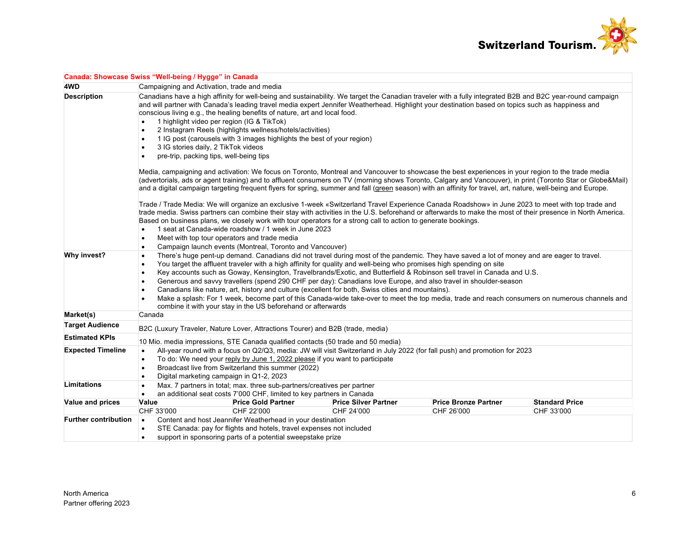

| Canada: Showcase Swiss "Well-being / Hygge" in Canada |                                                                                                                                                                                                                                                                                                                                                                                                                                                                                                                                                                       |                                                                                                                                                                                                                                                                                                                                                                                                                                                                                                                                                                                                                                                                                      |                             |                             |                                                                                                                                                             |  |  |
|-------------------------------------------------------|-----------------------------------------------------------------------------------------------------------------------------------------------------------------------------------------------------------------------------------------------------------------------------------------------------------------------------------------------------------------------------------------------------------------------------------------------------------------------------------------------------------------------------------------------------------------------|--------------------------------------------------------------------------------------------------------------------------------------------------------------------------------------------------------------------------------------------------------------------------------------------------------------------------------------------------------------------------------------------------------------------------------------------------------------------------------------------------------------------------------------------------------------------------------------------------------------------------------------------------------------------------------------|-----------------------------|-----------------------------|-------------------------------------------------------------------------------------------------------------------------------------------------------------|--|--|
| 4WD                                                   |                                                                                                                                                                                                                                                                                                                                                                                                                                                                                                                                                                       | Campaigning and Activation, trade and media                                                                                                                                                                                                                                                                                                                                                                                                                                                                                                                                                                                                                                          |                             |                             |                                                                                                                                                             |  |  |
| <b>Description</b>                                    | $\bullet$<br>$\bullet$                                                                                                                                                                                                                                                                                                                                                                                                                                                                                                                                                | Canadians have a high affinity for well-being and sustainability. We target the Canadian traveler with a fully integrated B2B and B2C year-round campaign<br>and will partner with Canada's leading travel media expert Jennifer Weatherhead. Highlight your destination based on topics such as happiness and<br>conscious living e.g., the healing benefits of nature, art and local food.<br>1 highlight video per region (IG & TikTok)<br>2 Instagram Reels (highlights wellness/hotels/activities)<br>1 IG post (carousels with 3 images highlights the best of your region)<br>3 IG stories daily, 2 TikTok videos<br>pre-trip, packing tips, well-being tips                  |                             |                             |                                                                                                                                                             |  |  |
|                                                       |                                                                                                                                                                                                                                                                                                                                                                                                                                                                                                                                                                       | Media, campaigning and activation: We focus on Toronto, Montreal and Vancouver to showcase the best experiences in your region to the trade media<br>and a digital campaign targeting frequent flyers for spring, summer and fall (green season) with an affinity for travel, art, nature, well-being and Europe.                                                                                                                                                                                                                                                                                                                                                                    |                             |                             | (advertorials, ads or agent training) and to affluent consumers on TV (morning shows Toronto, Calgary and Vancouver), in print (Toronto Star or Globe&Mail) |  |  |
|                                                       | Trade / Trade Media: We will organize an exclusive 1-week «Switzerland Travel Experience Canada Roadshow» in June 2023 to meet with top trade and<br>trade media. Swiss partners can combine their stay with activities in the U.S. beforehand or afterwards to make the most of their presence in North America.<br>Based on business plans, we closely work with tour operators for a strong call to action to generate bookings.<br>1 seat at Canada-wide roadshow / 1 week in June 2023<br>$\bullet$<br>Meet with top tour operators and trade media<br>$\bullet$ |                                                                                                                                                                                                                                                                                                                                                                                                                                                                                                                                                                                                                                                                                      |                             |                             |                                                                                                                                                             |  |  |
|                                                       | $\bullet$                                                                                                                                                                                                                                                                                                                                                                                                                                                                                                                                                             | Campaign launch events (Montreal, Toronto and Vancouver)                                                                                                                                                                                                                                                                                                                                                                                                                                                                                                                                                                                                                             |                             |                             |                                                                                                                                                             |  |  |
| Why invest?                                           | $\bullet$<br>$\bullet$<br>$\bullet$                                                                                                                                                                                                                                                                                                                                                                                                                                                                                                                                   | There's huge pent-up demand. Canadians did not travel during most of the pandemic. They have saved a lot of money and are eager to travel.<br>You target the affluent traveler with a high affinity for quality and well-being who promises high spending on site<br>Key accounts such as Goway, Kensington, Travelbrands/Exotic, and Butterfield & Robinson sell travel in Canada and U.S.<br>Generous and savvy travellers (spend 290 CHF per day): Canadians love Europe, and also travel in shoulder-season<br>Canadians like nature, art, history and culture (excellent for both, Swiss cities and mountains).<br>combine it with your stay in the US beforehand or afterwards |                             |                             | Make a splash: For 1 week, become part of this Canada-wide take-over to meet the top media, trade and reach consumers on numerous channels and              |  |  |
| Market(s)                                             | Canada                                                                                                                                                                                                                                                                                                                                                                                                                                                                                                                                                                |                                                                                                                                                                                                                                                                                                                                                                                                                                                                                                                                                                                                                                                                                      |                             |                             |                                                                                                                                                             |  |  |
| <b>Target Audience</b>                                |                                                                                                                                                                                                                                                                                                                                                                                                                                                                                                                                                                       | B2C (Luxury Traveler, Nature Lover, Attractions Tourer) and B2B (trade, media)                                                                                                                                                                                                                                                                                                                                                                                                                                                                                                                                                                                                       |                             |                             |                                                                                                                                                             |  |  |
| <b>Estimated KPIs</b>                                 |                                                                                                                                                                                                                                                                                                                                                                                                                                                                                                                                                                       |                                                                                                                                                                                                                                                                                                                                                                                                                                                                                                                                                                                                                                                                                      |                             |                             |                                                                                                                                                             |  |  |
| <b>Expected Timeline</b>                              | 10 Mio. media impressions, STE Canada qualified contacts (50 trade and 50 media)<br>All-year round with a focus on Q2/Q3, media: JW will visit Switzerland in July 2022 (for fall push) and promotion for 2023<br>$\bullet$<br>To do: We need your reply by June 1, 2022 please if you want to participate<br>$\bullet$<br>Broadcast live from Switzerland this summer (2022)<br>$\bullet$<br>Digital marketing campaign in Q1-2, 2023<br>$\bullet$                                                                                                                   |                                                                                                                                                                                                                                                                                                                                                                                                                                                                                                                                                                                                                                                                                      |                             |                             |                                                                                                                                                             |  |  |
| <b>Limitations</b>                                    | $\bullet$<br>$\bullet$                                                                                                                                                                                                                                                                                                                                                                                                                                                                                                                                                | Max. 7 partners in total; max. three sub-partners/creatives per partner<br>an additional seat costs 7'000 CHF, limited to key partners in Canada                                                                                                                                                                                                                                                                                                                                                                                                                                                                                                                                     |                             |                             |                                                                                                                                                             |  |  |
| Value and prices                                      | Value                                                                                                                                                                                                                                                                                                                                                                                                                                                                                                                                                                 | <b>Price Gold Partner</b>                                                                                                                                                                                                                                                                                                                                                                                                                                                                                                                                                                                                                                                            | <b>Price Silver Partner</b> | <b>Price Bronze Partner</b> | <b>Standard Price</b>                                                                                                                                       |  |  |
|                                                       | CHF 33'000                                                                                                                                                                                                                                                                                                                                                                                                                                                                                                                                                            | CHF 22'000                                                                                                                                                                                                                                                                                                                                                                                                                                                                                                                                                                                                                                                                           | CHF 24'000                  | CHF 26'000                  | CHF 33'000                                                                                                                                                  |  |  |
| <b>Further contribution</b>                           | $\bullet$<br>$\bullet$                                                                                                                                                                                                                                                                                                                                                                                                                                                                                                                                                | Content and host Jeannifer Weatherhead in your destination<br>STE Canada: pay for flights and hotels, travel expenses not included<br>support in sponsoring parts of a potential sweepstake prize                                                                                                                                                                                                                                                                                                                                                                                                                                                                                    |                             |                             |                                                                                                                                                             |  |  |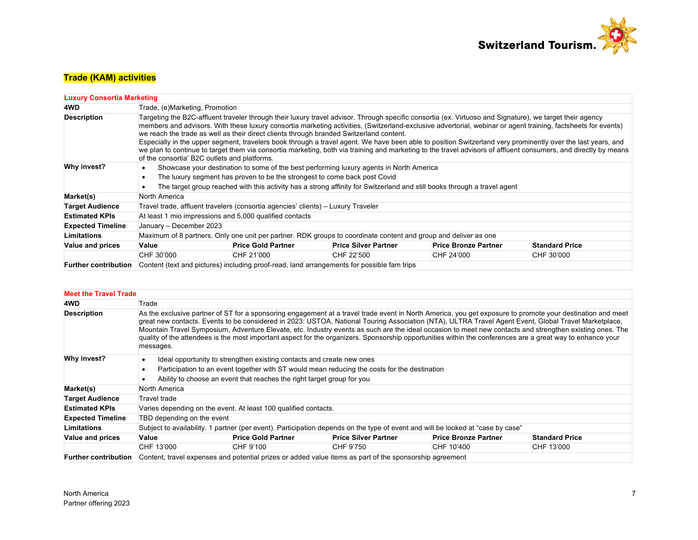

# **Trade (KAM) activities**

| <b>Luxury Consortia Marketing</b> |                                                                                                                                                                                                                                                                                                                                                                                                                                                                                                                                                                                                                                                                                                                                                                                                        |                                                                                                                                                                                                                                                                                                  |                                                                                                                 |                             |                       |  |  |  |
|-----------------------------------|--------------------------------------------------------------------------------------------------------------------------------------------------------------------------------------------------------------------------------------------------------------------------------------------------------------------------------------------------------------------------------------------------------------------------------------------------------------------------------------------------------------------------------------------------------------------------------------------------------------------------------------------------------------------------------------------------------------------------------------------------------------------------------------------------------|--------------------------------------------------------------------------------------------------------------------------------------------------------------------------------------------------------------------------------------------------------------------------------------------------|-----------------------------------------------------------------------------------------------------------------|-----------------------------|-----------------------|--|--|--|
| 4WD                               |                                                                                                                                                                                                                                                                                                                                                                                                                                                                                                                                                                                                                                                                                                                                                                                                        | Trade, (e) Marketing, Promotion                                                                                                                                                                                                                                                                  |                                                                                                                 |                             |                       |  |  |  |
| <b>Description</b>                | Targeting the B2C-affluent traveler through their luxury travel advisor. Through specific consortia (ex. Virtuoso and Signature), we target their agency<br>members and advisors. With these luxury consortia marketing activities, (Switzerland-exclusive advertorial, webinar or agent training, factsheets for events)<br>we reach the trade as well as their direct clients through branded Switzerland content.<br>Especially in the upper segment, travelers book through a travel agent. We have been able to position Switzerland very prominently over the last years, and<br>we plan to continue to target them via consortia marketing, both via training and marketing to the travel advisors of affluent consumers, and directly by means<br>of the consortia' B2C outlets and platforms. |                                                                                                                                                                                                                                                                                                  |                                                                                                                 |                             |                       |  |  |  |
| Why invest?                       |                                                                                                                                                                                                                                                                                                                                                                                                                                                                                                                                                                                                                                                                                                                                                                                                        | Showcase your destination to some of the best performing luxury agents in North America<br>The luxury segment has proven to be the strongest to come back post Covid<br>The target group reached with this activity has a strong affinity for Switzerland and still books through a travel agent |                                                                                                                 |                             |                       |  |  |  |
| Market(s)                         | North America                                                                                                                                                                                                                                                                                                                                                                                                                                                                                                                                                                                                                                                                                                                                                                                          |                                                                                                                                                                                                                                                                                                  |                                                                                                                 |                             |                       |  |  |  |
| <b>Target Audience</b>            |                                                                                                                                                                                                                                                                                                                                                                                                                                                                                                                                                                                                                                                                                                                                                                                                        | Travel trade, affluent travelers (consortia agencies' clients) – Luxury Traveler                                                                                                                                                                                                                 |                                                                                                                 |                             |                       |  |  |  |
| <b>Estimated KPIs</b>             |                                                                                                                                                                                                                                                                                                                                                                                                                                                                                                                                                                                                                                                                                                                                                                                                        | At least 1 mio impressions and 5,000 qualified contacts                                                                                                                                                                                                                                          |                                                                                                                 |                             |                       |  |  |  |
| <b>Expected Timeline</b>          | January - December 2023                                                                                                                                                                                                                                                                                                                                                                                                                                                                                                                                                                                                                                                                                                                                                                                |                                                                                                                                                                                                                                                                                                  |                                                                                                                 |                             |                       |  |  |  |
| Limitations                       |                                                                                                                                                                                                                                                                                                                                                                                                                                                                                                                                                                                                                                                                                                                                                                                                        |                                                                                                                                                                                                                                                                                                  | Maximum of 8 partners. Only one unit per partner. RDK groups to coordinate content and group and deliver as one |                             |                       |  |  |  |
| Value and prices                  | Value                                                                                                                                                                                                                                                                                                                                                                                                                                                                                                                                                                                                                                                                                                                                                                                                  | <b>Price Gold Partner</b>                                                                                                                                                                                                                                                                        | <b>Price Silver Partner</b>                                                                                     | <b>Price Bronze Partner</b> | <b>Standard Price</b> |  |  |  |
|                                   | CHF 30'000                                                                                                                                                                                                                                                                                                                                                                                                                                                                                                                                                                                                                                                                                                                                                                                             | CHF 21'000                                                                                                                                                                                                                                                                                       | CHF 22'500                                                                                                      | CHF 24'000                  | CHF 30'000            |  |  |  |
| <b>Further contribution</b>       |                                                                                                                                                                                                                                                                                                                                                                                                                                                                                                                                                                                                                                                                                                                                                                                                        |                                                                                                                                                                                                                                                                                                  | Content (text and pictures) including proof-read, land arrangements for possible fam trips                      |                             |                       |  |  |  |

| <b>Meet the Travel Trade</b> |                                                                                                                                                                                                                                                                                                                                                                                                                                                                                                                                                                                                                                                           |                                                                                                                                                                                                                                                 |                             |                             |                       |  |  |  |
|------------------------------|-----------------------------------------------------------------------------------------------------------------------------------------------------------------------------------------------------------------------------------------------------------------------------------------------------------------------------------------------------------------------------------------------------------------------------------------------------------------------------------------------------------------------------------------------------------------------------------------------------------------------------------------------------------|-------------------------------------------------------------------------------------------------------------------------------------------------------------------------------------------------------------------------------------------------|-----------------------------|-----------------------------|-----------------------|--|--|--|
| 4WD                          | Trade                                                                                                                                                                                                                                                                                                                                                                                                                                                                                                                                                                                                                                                     |                                                                                                                                                                                                                                                 |                             |                             |                       |  |  |  |
| <b>Description</b>           | As the exclusive partner of ST for a sponsoring engagement at a travel trade event in North America, you get exposure to promote your destination and meet<br>great new contacts. Events to be considered in 2023: USTOA, National Touring Association (NTA), ULTRA Travel Agent Event, Global Travel Marketplace,<br>Mountain Travel Symposium, Adventure Elevate, etc. Industry events as such are the ideal occasion to meet new contacts and strengthen existing ones. The<br>quality of the attendees is the most important aspect for the organizers. Sponsorship opportunities within the conferences are a great way to enhance your<br>messages. |                                                                                                                                                                                                                                                 |                             |                             |                       |  |  |  |
| Why invest?                  |                                                                                                                                                                                                                                                                                                                                                                                                                                                                                                                                                                                                                                                           | Ideal opportunity to strengthen existing contacts and create new ones<br>Participation to an event together with ST would mean reducing the costs for the destination<br>Ability to choose an event that reaches the right target group for you |                             |                             |                       |  |  |  |
| Market(s)                    | North America                                                                                                                                                                                                                                                                                                                                                                                                                                                                                                                                                                                                                                             |                                                                                                                                                                                                                                                 |                             |                             |                       |  |  |  |
| <b>Target Audience</b>       | Travel trade                                                                                                                                                                                                                                                                                                                                                                                                                                                                                                                                                                                                                                              |                                                                                                                                                                                                                                                 |                             |                             |                       |  |  |  |
| <b>Estimated KPIs</b>        |                                                                                                                                                                                                                                                                                                                                                                                                                                                                                                                                                                                                                                                           | Varies depending on the event. At least 100 qualified contacts.                                                                                                                                                                                 |                             |                             |                       |  |  |  |
| <b>Expected Timeline</b>     | TBD depending on the event                                                                                                                                                                                                                                                                                                                                                                                                                                                                                                                                                                                                                                |                                                                                                                                                                                                                                                 |                             |                             |                       |  |  |  |
| <b>Limitations</b>           |                                                                                                                                                                                                                                                                                                                                                                                                                                                                                                                                                                                                                                                           | Subject to availability. 1 partner (per event). Participation depends on the type of event and will be looked at "case by case"                                                                                                                 |                             |                             |                       |  |  |  |
| Value and prices             | Value                                                                                                                                                                                                                                                                                                                                                                                                                                                                                                                                                                                                                                                     | <b>Price Gold Partner</b>                                                                                                                                                                                                                       | <b>Price Silver Partner</b> | <b>Price Bronze Partner</b> | <b>Standard Price</b> |  |  |  |
|                              | CHF 13'000                                                                                                                                                                                                                                                                                                                                                                                                                                                                                                                                                                                                                                                | CHF 9'100                                                                                                                                                                                                                                       | CHF 9'750                   | CHF 10'400                  | CHF 13'000            |  |  |  |
| <b>Further contribution</b>  |                                                                                                                                                                                                                                                                                                                                                                                                                                                                                                                                                                                                                                                           | Content, travel expenses and potential prizes or added value items as part of the sponsorship agreement                                                                                                                                         |                             |                             |                       |  |  |  |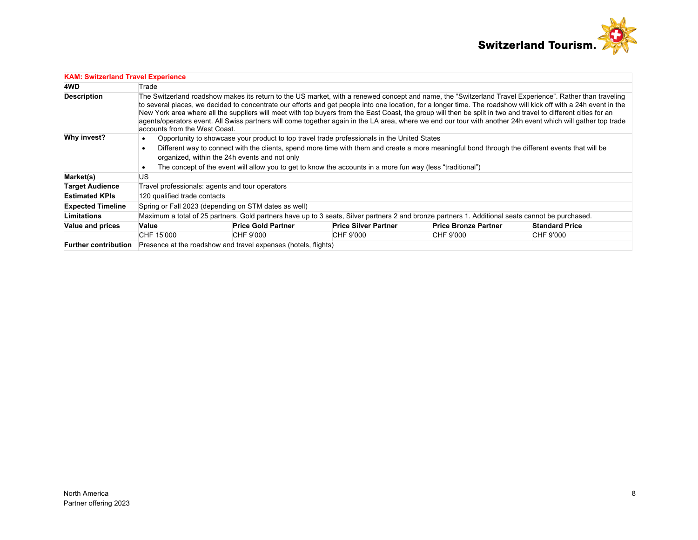

| <b>KAM: Switzerland Travel Experience</b> |                                                                                                                                                                                                                                                                                                                                                                                                                                                                                                                                                                                                                                                                                                |                                                                                                                                                                                                                                                                                                                                                                                                                |                                                                                                                                                  |                             |                       |  |  |  |
|-------------------------------------------|------------------------------------------------------------------------------------------------------------------------------------------------------------------------------------------------------------------------------------------------------------------------------------------------------------------------------------------------------------------------------------------------------------------------------------------------------------------------------------------------------------------------------------------------------------------------------------------------------------------------------------------------------------------------------------------------|----------------------------------------------------------------------------------------------------------------------------------------------------------------------------------------------------------------------------------------------------------------------------------------------------------------------------------------------------------------------------------------------------------------|--------------------------------------------------------------------------------------------------------------------------------------------------|-----------------------------|-----------------------|--|--|--|
| 4WD                                       | Trade                                                                                                                                                                                                                                                                                                                                                                                                                                                                                                                                                                                                                                                                                          |                                                                                                                                                                                                                                                                                                                                                                                                                |                                                                                                                                                  |                             |                       |  |  |  |
| <b>Description</b>                        | The Switzerland roadshow makes its return to the US market, with a renewed concept and name, the "Switzerland Travel Experience". Rather than traveling<br>to several places, we decided to concentrate our efforts and get people into one location, for a longer time. The roadshow will kick off with a 24h event in the<br>New York area where all the suppliers will meet with top buyers from the East Coast, the group will then be split in two and travel to different cities for an<br>agents/operators event. All Swiss partners will come together again in the LA area, where we end our tour with another 24h event which will gather top trade<br>accounts from the West Coast. |                                                                                                                                                                                                                                                                                                                                                                                                                |                                                                                                                                                  |                             |                       |  |  |  |
| Why invest?                               |                                                                                                                                                                                                                                                                                                                                                                                                                                                                                                                                                                                                                                                                                                | Opportunity to showcase your product to top travel trade professionals in the United States<br>Different way to connect with the clients, spend more time with them and create a more meaningful bond through the different events that will be<br>organized, within the 24h events and not only<br>The concept of the event will allow you to get to know the accounts in a more fun way (less "traditional") |                                                                                                                                                  |                             |                       |  |  |  |
| Market(s)                                 | US                                                                                                                                                                                                                                                                                                                                                                                                                                                                                                                                                                                                                                                                                             |                                                                                                                                                                                                                                                                                                                                                                                                                |                                                                                                                                                  |                             |                       |  |  |  |
| <b>Target Audience</b>                    | Travel professionals: agents and tour operators                                                                                                                                                                                                                                                                                                                                                                                                                                                                                                                                                                                                                                                |                                                                                                                                                                                                                                                                                                                                                                                                                |                                                                                                                                                  |                             |                       |  |  |  |
| <b>Estimated KPIs</b>                     | 120 qualified trade contacts                                                                                                                                                                                                                                                                                                                                                                                                                                                                                                                                                                                                                                                                   |                                                                                                                                                                                                                                                                                                                                                                                                                |                                                                                                                                                  |                             |                       |  |  |  |
| <b>Expected Timeline</b>                  | Spring or Fall 2023 (depending on STM dates as well)                                                                                                                                                                                                                                                                                                                                                                                                                                                                                                                                                                                                                                           |                                                                                                                                                                                                                                                                                                                                                                                                                |                                                                                                                                                  |                             |                       |  |  |  |
| <b>Limitations</b>                        |                                                                                                                                                                                                                                                                                                                                                                                                                                                                                                                                                                                                                                                                                                |                                                                                                                                                                                                                                                                                                                                                                                                                | Maximum a total of 25 partners. Gold partners have up to 3 seats, Silver partners 2 and bronze partners 1. Additional seats cannot be purchased. |                             |                       |  |  |  |
| <b>Value and prices</b>                   | Value                                                                                                                                                                                                                                                                                                                                                                                                                                                                                                                                                                                                                                                                                          | <b>Price Gold Partner</b>                                                                                                                                                                                                                                                                                                                                                                                      | <b>Price Silver Partner</b>                                                                                                                      | <b>Price Bronze Partner</b> | <b>Standard Price</b> |  |  |  |
|                                           | CHF 15'000                                                                                                                                                                                                                                                                                                                                                                                                                                                                                                                                                                                                                                                                                     | CHF 9'000                                                                                                                                                                                                                                                                                                                                                                                                      | CHF 9'000                                                                                                                                        | CHF 9'000                   | CHF 9'000             |  |  |  |
| <b>Further contribution</b>               |                                                                                                                                                                                                                                                                                                                                                                                                                                                                                                                                                                                                                                                                                                | Presence at the roadshow and travel expenses (hotels, flights)                                                                                                                                                                                                                                                                                                                                                 |                                                                                                                                                  |                             |                       |  |  |  |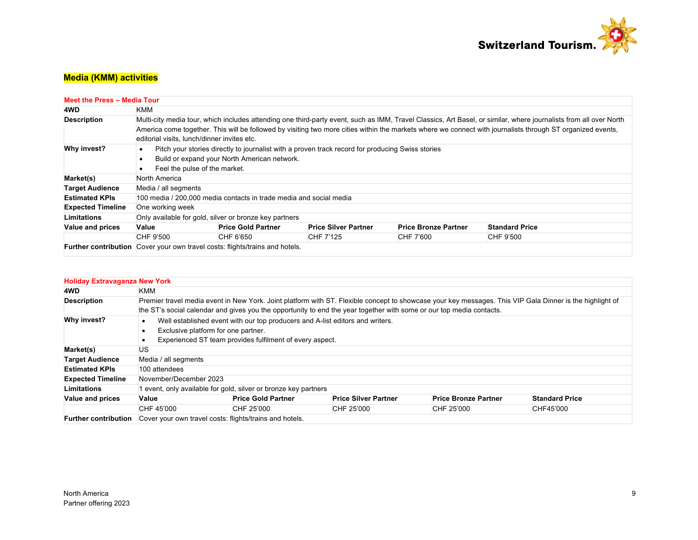

# **Media (KMM) activities**

| <b>Meet the Press - Media Tour</b> |                             |                                                                                                                                                                                                                                                                                                                                                                                |                             |                             |                       |  |  |  |  |  |
|------------------------------------|-----------------------------|--------------------------------------------------------------------------------------------------------------------------------------------------------------------------------------------------------------------------------------------------------------------------------------------------------------------------------------------------------------------------------|-----------------------------|-----------------------------|-----------------------|--|--|--|--|--|
| 4WD                                | KMM                         |                                                                                                                                                                                                                                                                                                                                                                                |                             |                             |                       |  |  |  |  |  |
| <b>Description</b>                 |                             | Multi-city media tour, which includes attending one third-party event, such as IMM, Travel Classics, Art Basel, or similar, where journalists from all over North<br>America come together. This will be followed by visiting two more cities within the markets where we connect with journalists through ST organized events,<br>editorial visits, lunch/dinner invites etc. |                             |                             |                       |  |  |  |  |  |
| Why invest?                        | $\bullet$<br>$\bullet$<br>٠ | Pitch your stories directly to journalist with a proven track record for producing Swiss stories<br>Build or expand your North American network.<br>Feel the pulse of the market.                                                                                                                                                                                              |                             |                             |                       |  |  |  |  |  |
| Market(s)                          | North America               |                                                                                                                                                                                                                                                                                                                                                                                |                             |                             |                       |  |  |  |  |  |
| <b>Target Audience</b>             | Media / all segments        |                                                                                                                                                                                                                                                                                                                                                                                |                             |                             |                       |  |  |  |  |  |
| <b>Estimated KPIs</b>              |                             | 100 media / 200,000 media contacts in trade media and social media                                                                                                                                                                                                                                                                                                             |                             |                             |                       |  |  |  |  |  |
| <b>Expected Timeline</b>           | One working week            |                                                                                                                                                                                                                                                                                                                                                                                |                             |                             |                       |  |  |  |  |  |
| Limitations                        |                             | Only available for gold, silver or bronze key partners                                                                                                                                                                                                                                                                                                                         |                             |                             |                       |  |  |  |  |  |
| Value and prices                   | Value                       | <b>Price Gold Partner</b>                                                                                                                                                                                                                                                                                                                                                      | <b>Price Silver Partner</b> | <b>Price Bronze Partner</b> | <b>Standard Price</b> |  |  |  |  |  |
|                                    | CHF 9'500                   | CHF 6'650                                                                                                                                                                                                                                                                                                                                                                      | CHF 7'125                   | CHF 7'600                   | CHF 9'500             |  |  |  |  |  |
|                                    |                             | <b>Further contribution</b> Cover your own travel costs: flights/trains and hotels.                                                                                                                                                                                                                                                                                            |                             |                             |                       |  |  |  |  |  |

| <b>Holiday Extravaganza New York</b> |                                                                                                                                                          |                                                               |                                                                                                                      |                             |                       |  |  |
|--------------------------------------|----------------------------------------------------------------------------------------------------------------------------------------------------------|---------------------------------------------------------------|----------------------------------------------------------------------------------------------------------------------|-----------------------------|-----------------------|--|--|
| 4WD                                  | KMM                                                                                                                                                      |                                                               |                                                                                                                      |                             |                       |  |  |
| <b>Description</b>                   | Premier travel media event in New York. Joint platform with ST. Flexible concept to showcase your key messages. This VIP Gala Dinner is the highlight of |                                                               |                                                                                                                      |                             |                       |  |  |
|                                      |                                                                                                                                                          |                                                               | the ST's social calendar and gives you the opportunity to end the year together with some or our top media contacts. |                             |                       |  |  |
| Why invest?                          | Well established event with our top producers and A-list editors and writers.                                                                            |                                                               |                                                                                                                      |                             |                       |  |  |
|                                      | Exclusive platform for one partner.                                                                                                                      |                                                               |                                                                                                                      |                             |                       |  |  |
|                                      |                                                                                                                                                          | Experienced ST team provides fulfilment of every aspect.      |                                                                                                                      |                             |                       |  |  |
| Market(s)                            | US                                                                                                                                                       |                                                               |                                                                                                                      |                             |                       |  |  |
| <b>Target Audience</b>               | Media / all segments                                                                                                                                     |                                                               |                                                                                                                      |                             |                       |  |  |
| <b>Estimated KPIs</b>                | 100 attendees                                                                                                                                            |                                                               |                                                                                                                      |                             |                       |  |  |
| <b>Expected Timeline</b>             | November/December 2023                                                                                                                                   |                                                               |                                                                                                                      |                             |                       |  |  |
| Limitations                          |                                                                                                                                                          | event, only available for gold, silver or bronze key partners |                                                                                                                      |                             |                       |  |  |
| Value and prices                     | Value                                                                                                                                                    | <b>Price Gold Partner</b>                                     | <b>Price Silver Partner</b>                                                                                          | <b>Price Bronze Partner</b> | <b>Standard Price</b> |  |  |
|                                      | CHF 45'000                                                                                                                                               | CHF 25'000                                                    | CHF 25'000                                                                                                           | CHF 25'000                  | CHF45'000             |  |  |
| <b>Further contribution</b>          | Cover your own travel costs: flights/trains and hotels.                                                                                                  |                                                               |                                                                                                                      |                             |                       |  |  |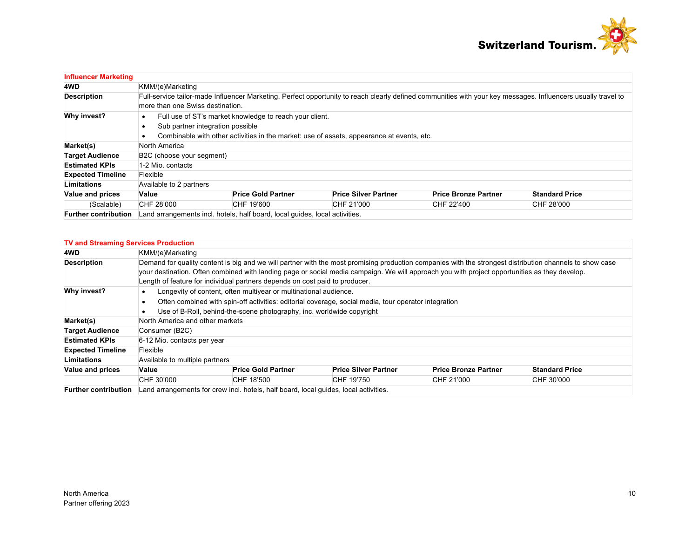

| <b>Influencer Marketing</b> |                                                                                                                                                                                                   |                           |                             |                             |                       |  |  |  |
|-----------------------------|---------------------------------------------------------------------------------------------------------------------------------------------------------------------------------------------------|---------------------------|-----------------------------|-----------------------------|-----------------------|--|--|--|
| 4WD                         | KMM/(e)Marketing                                                                                                                                                                                  |                           |                             |                             |                       |  |  |  |
| <b>Description</b>          | Full-service tailor-made Influencer Marketing. Perfect opportunity to reach clearly defined communities with your key messages. Influencers usually travel to<br>more than one Swiss destination. |                           |                             |                             |                       |  |  |  |
| Why invest?                 | Full use of ST's market knowledge to reach your client.<br>Sub partner integration possible<br>Combinable with other activities in the market: use of assets, appearance at events, etc.          |                           |                             |                             |                       |  |  |  |
| Market(s)                   | North America                                                                                                                                                                                     |                           |                             |                             |                       |  |  |  |
| <b>Target Audience</b>      | B2C (choose your segment)                                                                                                                                                                         |                           |                             |                             |                       |  |  |  |
| <b>Estimated KPIs</b>       | 1-2 Mio. contacts                                                                                                                                                                                 |                           |                             |                             |                       |  |  |  |
| <b>Expected Timeline</b>    | Flexible                                                                                                                                                                                          |                           |                             |                             |                       |  |  |  |
| Limitations                 | Available to 2 partners                                                                                                                                                                           |                           |                             |                             |                       |  |  |  |
| Value and prices            | Value                                                                                                                                                                                             | <b>Price Gold Partner</b> | <b>Price Silver Partner</b> | <b>Price Bronze Partner</b> | <b>Standard Price</b> |  |  |  |
| (Scalable)                  | CHF 28'000                                                                                                                                                                                        | CHF 19'600                | CHF 21'000                  | CHF 22'400                  | CHF 28'000            |  |  |  |
| <b>Further contribution</b> | Land arrangements incl. hotels, half board, local quides, local activities.                                                                                                                       |                           |                             |                             |                       |  |  |  |

### **TV and Streaming Services Production**

| 4WD                         | KMM/(e)Marketing                                                                                                                                                                                                                                                                                                                                                                         |                           |                             |                             |                       |  |  |  |
|-----------------------------|------------------------------------------------------------------------------------------------------------------------------------------------------------------------------------------------------------------------------------------------------------------------------------------------------------------------------------------------------------------------------------------|---------------------------|-----------------------------|-----------------------------|-----------------------|--|--|--|
| <b>Description</b>          | Demand for quality content is big and we will partner with the most promising production companies with the strongest distribution channels to show case<br>your destination. Often combined with landing page or social media campaign. We will approach you with project opportunities as they develop.<br>Length of feature for individual partners depends on cost paid to producer. |                           |                             |                             |                       |  |  |  |
| Why invest?                 | Longevity of content, often multiyear or multinational audience.<br>Often combined with spin-off activities: editorial coverage, social media, tour operator integration<br>Use of B-Roll, behind-the-scene photography, inc. worldwide copyright                                                                                                                                        |                           |                             |                             |                       |  |  |  |
| Market(s)                   | North America and other markets                                                                                                                                                                                                                                                                                                                                                          |                           |                             |                             |                       |  |  |  |
| <b>Target Audience</b>      | Consumer (B2C)                                                                                                                                                                                                                                                                                                                                                                           |                           |                             |                             |                       |  |  |  |
| <b>Estimated KPIs</b>       | 6-12 Mio. contacts per year                                                                                                                                                                                                                                                                                                                                                              |                           |                             |                             |                       |  |  |  |
| <b>Expected Timeline</b>    | Flexible                                                                                                                                                                                                                                                                                                                                                                                 |                           |                             |                             |                       |  |  |  |
| <b>Limitations</b>          | Available to multiple partners                                                                                                                                                                                                                                                                                                                                                           |                           |                             |                             |                       |  |  |  |
| Value and prices            | Value                                                                                                                                                                                                                                                                                                                                                                                    | <b>Price Gold Partner</b> | <b>Price Silver Partner</b> | <b>Price Bronze Partner</b> | <b>Standard Price</b> |  |  |  |
|                             | CHF 30'000                                                                                                                                                                                                                                                                                                                                                                               | CHF 18'500                | CHF 19'750                  | CHF 21'000                  | CHF 30'000            |  |  |  |
| <b>Further contribution</b> | Land arrangements for crew incl. hotels, half board, local quides, local activities.                                                                                                                                                                                                                                                                                                     |                           |                             |                             |                       |  |  |  |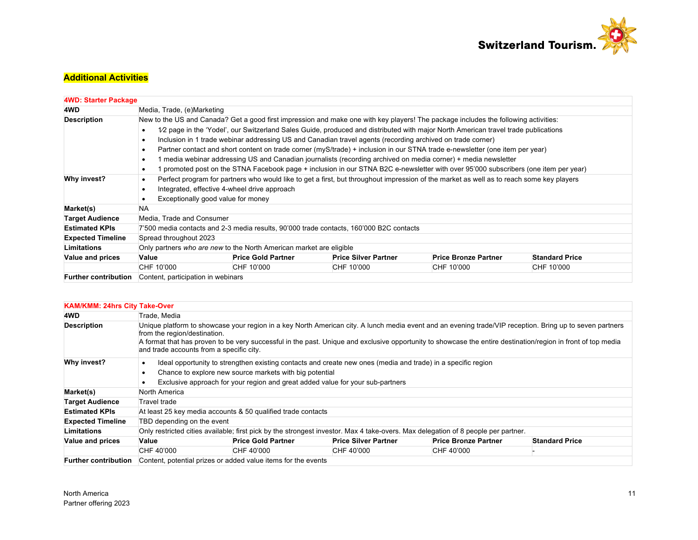

# **Additional Activities**

| <b>4WD: Starter Package</b> |                                                                                                                                     |                           |                                                                                                                                          |                             |                       |  |  |  |
|-----------------------------|-------------------------------------------------------------------------------------------------------------------------------------|---------------------------|------------------------------------------------------------------------------------------------------------------------------------------|-----------------------------|-----------------------|--|--|--|
| 4WD                         | Media, Trade, (e)Marketing                                                                                                          |                           |                                                                                                                                          |                             |                       |  |  |  |
| <b>Description</b>          | New to the US and Canada? Get a good first impression and make one with key players! The package includes the following activities: |                           |                                                                                                                                          |                             |                       |  |  |  |
|                             | 1/2 page in the 'Yodel', our Switzerland Sales Guide, produced and distributed with major North American travel trade publications  |                           |                                                                                                                                          |                             |                       |  |  |  |
|                             | Inclusion in 1 trade webinar addressing US and Canadian travel agents (recording archived on trade corner)                          |                           |                                                                                                                                          |                             |                       |  |  |  |
|                             | Partner contact and short content on trade corner (myS/trade) + inclusion in our STNA trade e-newsletter (one item per year)        |                           |                                                                                                                                          |                             |                       |  |  |  |
|                             | 1 media webinar addressing US and Canadian journalists (recording archived on media corner) + media newsletter                      |                           |                                                                                                                                          |                             |                       |  |  |  |
|                             | 1 promoted post on the STNA Facebook page + inclusion in our STNA B2C e-newsletter with over 95'000 subscribers (one item per year) |                           |                                                                                                                                          |                             |                       |  |  |  |
| Why invest?                 |                                                                                                                                     |                           | Perfect program for partners who would like to get a first, but throughout impression of the market as well as to reach some key players |                             |                       |  |  |  |
|                             | Integrated, effective 4-wheel drive approach                                                                                        |                           |                                                                                                                                          |                             |                       |  |  |  |
|                             | Exceptionally good value for money                                                                                                  |                           |                                                                                                                                          |                             |                       |  |  |  |
| Market(s)                   | <b>NA</b>                                                                                                                           |                           |                                                                                                                                          |                             |                       |  |  |  |
| <b>Target Audience</b>      | Media, Trade and Consumer                                                                                                           |                           |                                                                                                                                          |                             |                       |  |  |  |
| <b>Estimated KPIs</b>       |                                                                                                                                     |                           | 7'500 media contacts and 2-3 media results, 90'000 trade contacts, 160'000 B2C contacts                                                  |                             |                       |  |  |  |
| <b>Expected Timeline</b>    | Spread throughout 2023                                                                                                              |                           |                                                                                                                                          |                             |                       |  |  |  |
| <b>Limitations</b>          | Only partners who are new to the North American market are eligible                                                                 |                           |                                                                                                                                          |                             |                       |  |  |  |
| <b>Value and prices</b>     | Value                                                                                                                               | <b>Price Gold Partner</b> | <b>Price Silver Partner</b>                                                                                                              | <b>Price Bronze Partner</b> | <b>Standard Price</b> |  |  |  |
|                             | CHF 10'000                                                                                                                          | CHF 10'000                | CHF 10'000                                                                                                                               | CHF 10'000                  | CHF 10'000            |  |  |  |
| <b>Further contribution</b> | Content, participation in webinars                                                                                                  |                           |                                                                                                                                          |                             |                       |  |  |  |

| <b>KAM/KMM: 24hrs City Take-Over</b> |                                                                                                                                                                                                                                                                                                                                                                                                      |                                                                                                                                   |                             |                             |                       |  |  |  |
|--------------------------------------|------------------------------------------------------------------------------------------------------------------------------------------------------------------------------------------------------------------------------------------------------------------------------------------------------------------------------------------------------------------------------------------------------|-----------------------------------------------------------------------------------------------------------------------------------|-----------------------------|-----------------------------|-----------------------|--|--|--|
| 4WD                                  | Trade, Media                                                                                                                                                                                                                                                                                                                                                                                         |                                                                                                                                   |                             |                             |                       |  |  |  |
| <b>Description</b>                   | Unique platform to showcase your region in a key North American city. A lunch media event and an evening trade/VIP reception. Bring up to seven partners<br>from the region/destination.<br>A format that has proven to be very successful in the past. Unique and exclusive opportunity to showcase the entire destination/region in front of top media<br>and trade accounts from a specific city. |                                                                                                                                   |                             |                             |                       |  |  |  |
| Why invest?                          | Ideal opportunity to strengthen existing contacts and create new ones (media and trade) in a specific region<br>$\bullet$<br>Chance to explore new source markets with big potential<br>٠<br>Exclusive approach for your region and great added value for your sub-partners<br>٠                                                                                                                     |                                                                                                                                   |                             |                             |                       |  |  |  |
| Market(s)                            | North America                                                                                                                                                                                                                                                                                                                                                                                        |                                                                                                                                   |                             |                             |                       |  |  |  |
| <b>Target Audience</b>               | Travel trade                                                                                                                                                                                                                                                                                                                                                                                         |                                                                                                                                   |                             |                             |                       |  |  |  |
| <b>Estimated KPIs</b>                |                                                                                                                                                                                                                                                                                                                                                                                                      | At least 25 key media accounts & 50 qualified trade contacts                                                                      |                             |                             |                       |  |  |  |
| <b>Expected Timeline</b>             | TBD depending on the event                                                                                                                                                                                                                                                                                                                                                                           |                                                                                                                                   |                             |                             |                       |  |  |  |
| <b>Limitations</b>                   |                                                                                                                                                                                                                                                                                                                                                                                                      | Only restricted cities available; first pick by the strongest investor. Max 4 take-overs. Max delegation of 8 people per partner. |                             |                             |                       |  |  |  |
| Value and prices                     | Value                                                                                                                                                                                                                                                                                                                                                                                                | <b>Price Gold Partner</b>                                                                                                         | <b>Price Silver Partner</b> | <b>Price Bronze Partner</b> | <b>Standard Price</b> |  |  |  |
|                                      | CHF 40'000                                                                                                                                                                                                                                                                                                                                                                                           | CHF 40'000                                                                                                                        | CHF 40'000                  | CHF 40'000                  |                       |  |  |  |
| <b>Further contribution</b>          |                                                                                                                                                                                                                                                                                                                                                                                                      | Content, potential prizes or added value items for the events                                                                     |                             |                             |                       |  |  |  |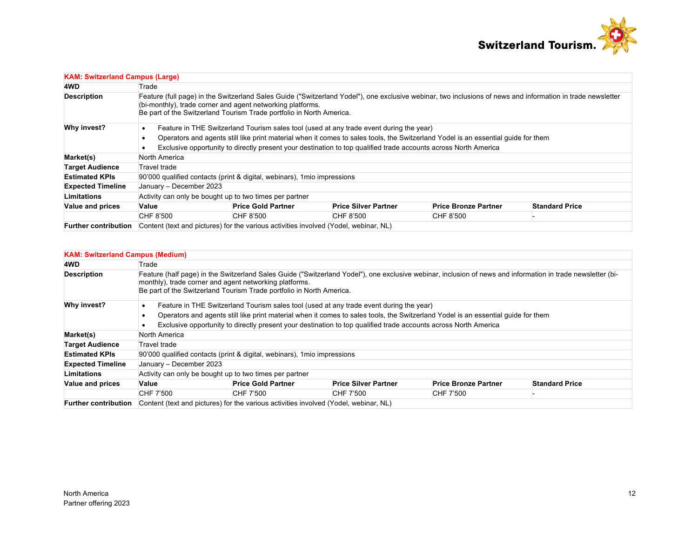

| <b>KAM: Switzerland Campus (Large)</b> |                                                                                                                                                                                                                                                                                                   |                                                                                      |                                                                                                                 |                             |                       |  |  |
|----------------------------------------|---------------------------------------------------------------------------------------------------------------------------------------------------------------------------------------------------------------------------------------------------------------------------------------------------|--------------------------------------------------------------------------------------|-----------------------------------------------------------------------------------------------------------------|-----------------------------|-----------------------|--|--|
| 4WD                                    | Trade                                                                                                                                                                                                                                                                                             |                                                                                      |                                                                                                                 |                             |                       |  |  |
| <b>Description</b>                     | Feature (full page) in the Switzerland Sales Guide ("Switzerland Yodel"), one exclusive webinar, two inclusions of news and information in trade newsletter<br>(bi-monthly), trade corner and agent networking platforms.<br>Be part of the Switzerland Tourism Trade portfolio in North America. |                                                                                      |                                                                                                                 |                             |                       |  |  |
| Why invest?                            | Feature in THE Switzerland Tourism sales tool (used at any trade event during the year)                                                                                                                                                                                                           |                                                                                      |                                                                                                                 |                             |                       |  |  |
|                                        | Operators and agents still like print material when it comes to sales tools, the Switzerland Yodel is an essential guide for them                                                                                                                                                                 |                                                                                      |                                                                                                                 |                             |                       |  |  |
|                                        |                                                                                                                                                                                                                                                                                                   |                                                                                      | Exclusive opportunity to directly present your destination to top qualified trade accounts across North America |                             |                       |  |  |
| Market(s)                              | North America                                                                                                                                                                                                                                                                                     |                                                                                      |                                                                                                                 |                             |                       |  |  |
| <b>Target Audience</b>                 | Travel trade                                                                                                                                                                                                                                                                                      |                                                                                      |                                                                                                                 |                             |                       |  |  |
| <b>Estimated KPIs</b>                  |                                                                                                                                                                                                                                                                                                   | 90'000 qualified contacts (print & digital, webinars), 1 mio impressions             |                                                                                                                 |                             |                       |  |  |
| <b>Expected Timeline</b>               | January - December 2023                                                                                                                                                                                                                                                                           |                                                                                      |                                                                                                                 |                             |                       |  |  |
| <b>Limitations</b>                     | Activity can only be bought up to two times per partner                                                                                                                                                                                                                                           |                                                                                      |                                                                                                                 |                             |                       |  |  |
| Value and prices                       | Value                                                                                                                                                                                                                                                                                             | <b>Price Gold Partner</b>                                                            | <b>Price Silver Partner</b>                                                                                     | <b>Price Bronze Partner</b> | <b>Standard Price</b> |  |  |
|                                        | CHF 8'500                                                                                                                                                                                                                                                                                         | CHF 8'500                                                                            | CHF 8'500                                                                                                       | CHF 8'500                   |                       |  |  |
| <b>Further contribution</b>            |                                                                                                                                                                                                                                                                                                   | Content (text and pictures) for the various activities involved (Yodel, webinar, NL) |                                                                                                                 |                             |                       |  |  |

### **KAM: Switzerland Campus (Medium)**

| 4WD                         | Trade                                                                                                                                                                                                                                                                                         |                           |                                                                                                                 |                             |                       |  |  |  |  |
|-----------------------------|-----------------------------------------------------------------------------------------------------------------------------------------------------------------------------------------------------------------------------------------------------------------------------------------------|---------------------------|-----------------------------------------------------------------------------------------------------------------|-----------------------------|-----------------------|--|--|--|--|
| <b>Description</b>          | Feature (half page) in the Switzerland Sales Guide ("Switzerland Yodel"), one exclusive webinar, inclusion of news and information in trade newsletter (bi-<br>monthly), trade corner and agent networking platforms.<br>Be part of the Switzerland Tourism Trade portfolio in North America. |                           |                                                                                                                 |                             |                       |  |  |  |  |
| Why invest?                 | Feature in THE Switzerland Tourism sales tool (used at any trade event during the year)                                                                                                                                                                                                       |                           |                                                                                                                 |                             |                       |  |  |  |  |
|                             | Operators and agents still like print material when it comes to sales tools, the Switzerland Yodel is an essential quide for them                                                                                                                                                             |                           |                                                                                                                 |                             |                       |  |  |  |  |
|                             |                                                                                                                                                                                                                                                                                               |                           | Exclusive opportunity to directly present your destination to top qualified trade accounts across North America |                             |                       |  |  |  |  |
| Market(s)                   | North America                                                                                                                                                                                                                                                                                 |                           |                                                                                                                 |                             |                       |  |  |  |  |
| <b>Target Audience</b>      | Travel trade                                                                                                                                                                                                                                                                                  |                           |                                                                                                                 |                             |                       |  |  |  |  |
| <b>Estimated KPIs</b>       | 90'000 qualified contacts (print & digital, webinars), 1 mio impressions                                                                                                                                                                                                                      |                           |                                                                                                                 |                             |                       |  |  |  |  |
| <b>Expected Timeline</b>    | January - December 2023                                                                                                                                                                                                                                                                       |                           |                                                                                                                 |                             |                       |  |  |  |  |
| <b>Limitations</b>          | Activity can only be bought up to two times per partner                                                                                                                                                                                                                                       |                           |                                                                                                                 |                             |                       |  |  |  |  |
| Value and prices            | Value                                                                                                                                                                                                                                                                                         | <b>Price Gold Partner</b> | <b>Price Silver Partner</b>                                                                                     | <b>Price Bronze Partner</b> | <b>Standard Price</b> |  |  |  |  |
|                             | CHF 7'500                                                                                                                                                                                                                                                                                     | CHF 7'500                 | CHF 7'500                                                                                                       | CHF 7'500                   |                       |  |  |  |  |
| <b>Further contribution</b> |                                                                                                                                                                                                                                                                                               |                           | Content (text and pictures) for the various activities involved (Yodel, webinar, NL)                            |                             |                       |  |  |  |  |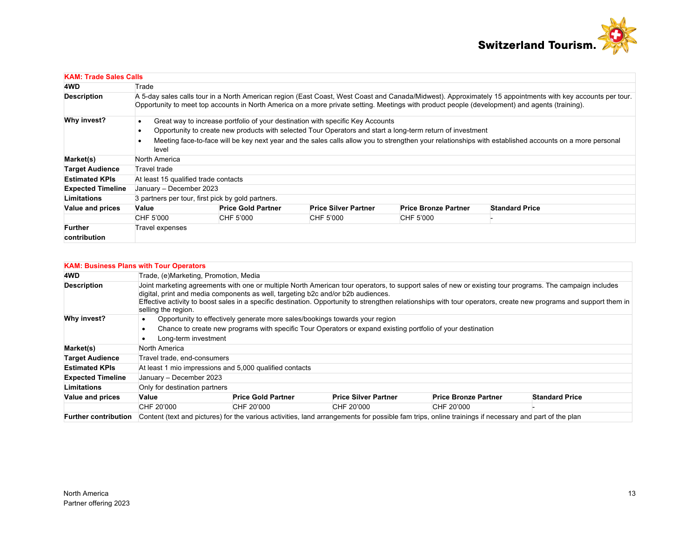

| <b>KAM: Trade Sales Calls</b> |                                                                                                                                                                                                                                                                                                              |                                                                                                                                                                 |                                                   |                             |                             |                       |  |  |
|-------------------------------|--------------------------------------------------------------------------------------------------------------------------------------------------------------------------------------------------------------------------------------------------------------------------------------------------------------|-----------------------------------------------------------------------------------------------------------------------------------------------------------------|---------------------------------------------------|-----------------------------|-----------------------------|-----------------------|--|--|
| 4WD                           | Trade                                                                                                                                                                                                                                                                                                        |                                                                                                                                                                 |                                                   |                             |                             |                       |  |  |
| <b>Description</b>            | A 5-day sales calls tour in a North American region (East Coast, West Coast and Canada/Midwest). Approximately 15 appointments with key accounts per tour.<br>Opportunity to meet top accounts in North America on a more private setting. Meetings with product people (development) and agents (training). |                                                                                                                                                                 |                                                   |                             |                             |                       |  |  |
| Why invest?                   | ٠                                                                                                                                                                                                                                                                                                            | Great way to increase portfolio of your destination with specific Key Accounts                                                                                  |                                                   |                             |                             |                       |  |  |
|                               | Opportunity to create new products with selected Tour Operators and start a long-term return of investment<br>$\bullet$                                                                                                                                                                                      |                                                                                                                                                                 |                                                   |                             |                             |                       |  |  |
|                               |                                                                                                                                                                                                                                                                                                              | Meeting face-to-face will be key next year and the sales calls allow you to strengthen your relationships with established accounts on a more personal<br>level |                                                   |                             |                             |                       |  |  |
| Market(s)                     |                                                                                                                                                                                                                                                                                                              | North America                                                                                                                                                   |                                                   |                             |                             |                       |  |  |
| <b>Target Audience</b>        |                                                                                                                                                                                                                                                                                                              | Travel trade                                                                                                                                                    |                                                   |                             |                             |                       |  |  |
| <b>Estimated KPIs</b>         |                                                                                                                                                                                                                                                                                                              | At least 15 qualified trade contacts                                                                                                                            |                                                   |                             |                             |                       |  |  |
| <b>Expected Timeline</b>      |                                                                                                                                                                                                                                                                                                              | January - December 2023                                                                                                                                         |                                                   |                             |                             |                       |  |  |
| Limitations                   |                                                                                                                                                                                                                                                                                                              |                                                                                                                                                                 | 3 partners per tour, first pick by gold partners. |                             |                             |                       |  |  |
| <b>Value and prices</b>       | Value                                                                                                                                                                                                                                                                                                        |                                                                                                                                                                 | <b>Price Gold Partner</b>                         | <b>Price Silver Partner</b> | <b>Price Bronze Partner</b> | <b>Standard Price</b> |  |  |
|                               | CHF 5'000                                                                                                                                                                                                                                                                                                    |                                                                                                                                                                 | CHF 5'000                                         | CHF 5'000                   | CHF 5'000                   |                       |  |  |
| <b>Further</b>                | Travel expenses                                                                                                                                                                                                                                                                                              |                                                                                                                                                                 |                                                   |                             |                             |                       |  |  |
| contribution                  |                                                                                                                                                                                                                                                                                                              |                                                                                                                                                                 |                                                   |                             |                             |                       |  |  |

| <b>KAM: Business Plans with Tour Operators</b> |                                                                                                                                                                                                                                                                                                                                                                                                                                         |                           |                             |                                                                                                                                                      |                       |  |  |  |  |
|------------------------------------------------|-----------------------------------------------------------------------------------------------------------------------------------------------------------------------------------------------------------------------------------------------------------------------------------------------------------------------------------------------------------------------------------------------------------------------------------------|---------------------------|-----------------------------|------------------------------------------------------------------------------------------------------------------------------------------------------|-----------------------|--|--|--|--|
| 4WD                                            | Trade, (e) Marketing, Promotion, Media                                                                                                                                                                                                                                                                                                                                                                                                  |                           |                             |                                                                                                                                                      |                       |  |  |  |  |
| <b>Description</b>                             | Joint marketing agreements with one or multiple North American tour operators, to support sales of new or existing tour programs. The campaign includes<br>digital, print and media components as well, targeting b2c and/or b2b audiences.<br>Effective activity to boost sales in a specific destination. Opportunity to strengthen relationships with tour operators, create new programs and support them in<br>selling the region. |                           |                             |                                                                                                                                                      |                       |  |  |  |  |
| Why invest?                                    | Opportunity to effectively generate more sales/bookings towards your region<br>$\bullet$<br>Chance to create new programs with specific Tour Operators or expand existing portfolio of your destination<br>$\bullet$<br>Long-term investment<br>٠                                                                                                                                                                                       |                           |                             |                                                                                                                                                      |                       |  |  |  |  |
| Market(s)                                      | North America                                                                                                                                                                                                                                                                                                                                                                                                                           |                           |                             |                                                                                                                                                      |                       |  |  |  |  |
| <b>Target Audience</b>                         | Travel trade, end-consumers                                                                                                                                                                                                                                                                                                                                                                                                             |                           |                             |                                                                                                                                                      |                       |  |  |  |  |
| <b>Estimated KPIs</b>                          | At least 1 mio impressions and 5,000 qualified contacts                                                                                                                                                                                                                                                                                                                                                                                 |                           |                             |                                                                                                                                                      |                       |  |  |  |  |
| <b>Expected Timeline</b>                       | January - December 2023                                                                                                                                                                                                                                                                                                                                                                                                                 |                           |                             |                                                                                                                                                      |                       |  |  |  |  |
| <b>Limitations</b>                             | Only for destination partners                                                                                                                                                                                                                                                                                                                                                                                                           |                           |                             |                                                                                                                                                      |                       |  |  |  |  |
| Value and prices                               | Value                                                                                                                                                                                                                                                                                                                                                                                                                                   | <b>Price Gold Partner</b> | <b>Price Silver Partner</b> | <b>Price Bronze Partner</b>                                                                                                                          | <b>Standard Price</b> |  |  |  |  |
|                                                | CHF 20'000                                                                                                                                                                                                                                                                                                                                                                                                                              | CHF 20'000                | CHF 20'000                  | CHF 20'000                                                                                                                                           |                       |  |  |  |  |
| <b>Further contribution</b>                    |                                                                                                                                                                                                                                                                                                                                                                                                                                         |                           |                             | Content (text and pictures) for the various activities, land arrangements for possible fam trips, online trainings if necessary and part of the plan |                       |  |  |  |  |